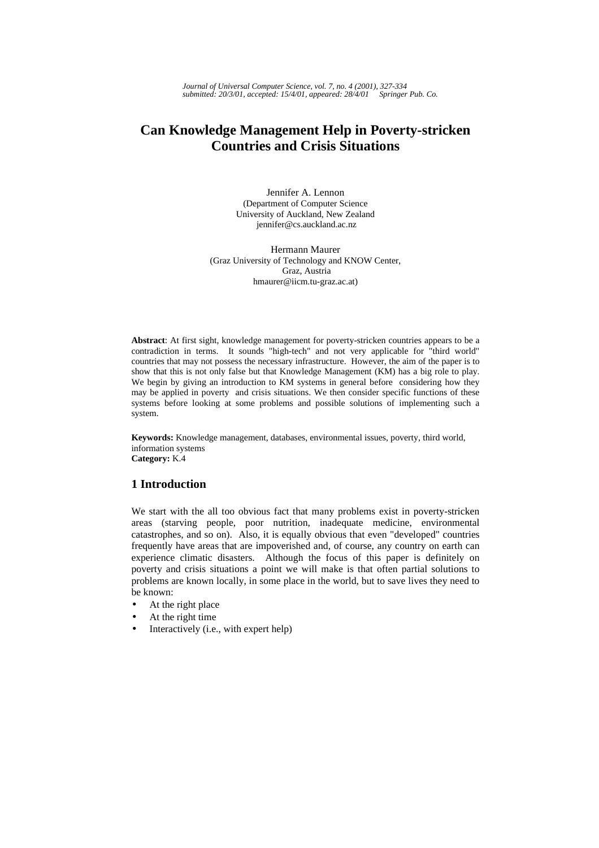*Journal of Universal Computer Science, vol. 7, no. 4 (2001), 327-334 submitted: 20/3/01, accepted: 15/4/01, appeared: 28/4/01 Springer Pub. Co.*

# **Can Knowledge Management Help in Poverty-stricken Countries and Crisis Situations**

Jennifer A. Lennon (Department of Computer Science University of Auckland, New Zealand jennifer@cs.auckland.ac.nz

Hermann Maurer (Graz University of Technology and KNOW Center, Graz, Austria hmaurer@iicm.tu-graz.ac.at)

**Abstract**: At first sight, knowledge management for poverty-stricken countries appears to be a contradiction in terms. It sounds "high-tech" and not very applicable for "third world" countries that may not possess the necessary infrastructure. However, the aim of the paper is to show that this is not only false but that Knowledge Management (KM) has a big role to play. We begin by giving an introduction to KM systems in general before considering how they may be applied in poverty and crisis situations. We then consider specific functions of these systems before looking at some problems and possible solutions of implementing such a system.

**Keywords:** Knowledge management, databases, environmental issues, poverty, third world, information systems **Category:** K.4

# **1 Introduction**

We start with the all too obvious fact that many problems exist in poverty-stricken areas (starving people, poor nutrition, inadequate medicine, environmental catastrophes, and so on). Also, it is equally obvious that even "developed" countries frequently have areas that are impoverished and, of course, any country on earth can experience climatic disasters. Although the focus of this paper is definitely on poverty and crisis situations a point we will make is that often partial solutions to problems are known locally, in some place in the world, but to save lives they need to be known:

- At the right place
- At the right time
- Interactively (i.e., with expert help)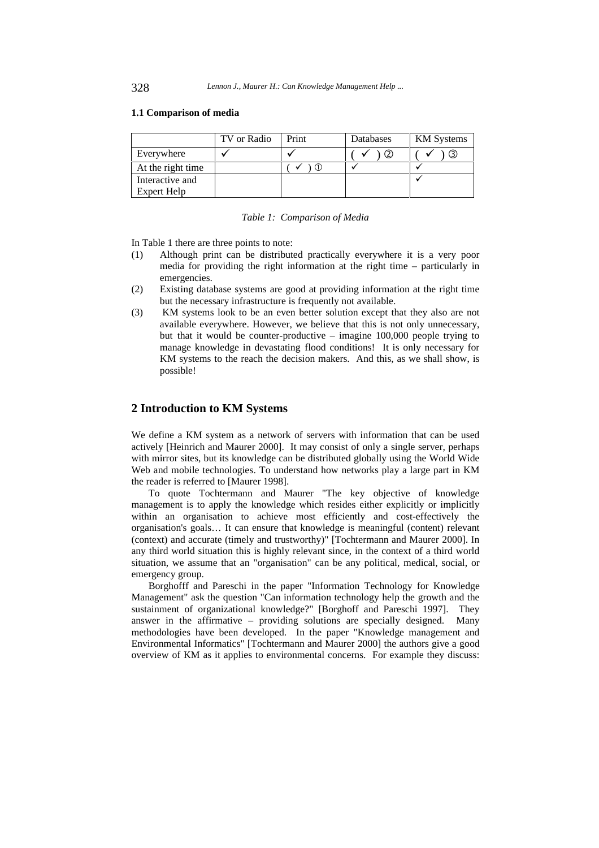#### **1.1 Comparison of media**

|                   | TV or Radio | Print | Databases | <b>KM</b> Systems |
|-------------------|-------------|-------|-----------|-------------------|
| Everywhere        |             |       |           | كا                |
| At the right time |             |       |           |                   |
| Interactive and   |             |       |           |                   |
| Expert Help       |             |       |           |                   |

*Table 1: Comparison of Media* 

In Table 1 there are three points to note:

- (1) Although print can be distributed practically everywhere it is a very poor media for providing the right information at the right time – particularly in emergencies.
- (2) Existing database systems are good at providing information at the right time but the necessary infrastructure is frequently not available.
- (3) KM systems look to be an even better solution except that they also are not available everywhere. However, we believe that this is not only unnecessary, but that it would be counter-productive – imagine 100,000 people trying to manage knowledge in devastating flood conditions! It is only necessary for KM systems to the reach the decision makers. And this, as we shall show, is possible!

# **2 Introduction to KM Systems**

We define a KM system as a network of servers with information that can be used actively [Heinrich and Maurer 2000]. It may consist of only a single server, perhaps with mirror sites, but its knowledge can be distributed globally using the World Wide Web and mobile technologies. To understand how networks play a large part in KM the reader is referred to [Maurer 1998].

To quote Tochtermann and Maurer "The key objective of knowledge management is to apply the knowledge which resides either explicitly or implicitly within an organisation to achieve most efficiently and cost-effectively the organisation's goals… It can ensure that knowledge is meaningful (content) relevant (context) and accurate (timely and trustworthy)" [Tochtermann and Maurer 2000]. In any third world situation this is highly relevant since, in the context of a third world situation, we assume that an "organisation" can be any political, medical, social, or emergency group.

Borghofff and Pareschi in the paper "Information Technology for Knowledge Management" ask the question "Can information technology help the growth and the sustainment of organizational knowledge?" [Borghoff and Pareschi 1997]. They answer in the affirmative – providing solutions are specially designed. Many methodologies have been developed. In the paper "Knowledge management and Environmental Informatics" [Tochtermann and Maurer 2000] the authors give a good overview of KM as it applies to environmental concerns. For example they discuss: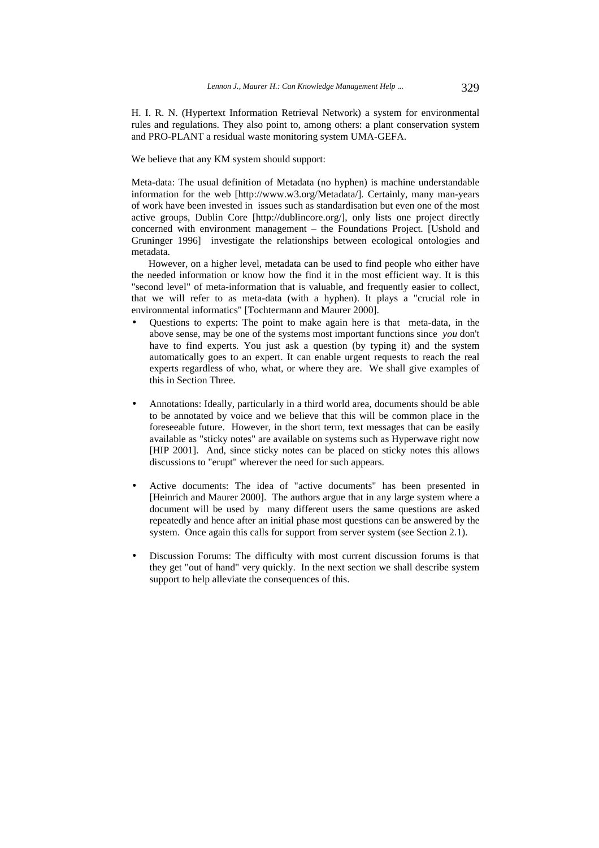H. I. R. N. (Hypertext Information Retrieval Network) a system for environmental rules and regulations. They also point to, among others: a plant conservation system and PRO-PLANT a residual waste monitoring system UMA-GEFA.

We believe that any KM system should support:

Meta-data: The usual definition of Metadata (no hyphen) is machine understandable information for the web [http://www.w3.org/Metadata/]. Certainly, many man-years of work have been invested in issues such as standardisation but even one of the most active groups, Dublin Core [http://dublincore.org/], only lists one project directly concerned with environment management – the Foundations Project. [Ushold and Gruninger 1996] investigate the relationships between ecological ontologies and metadata.

However, on a higher level, metadata can be used to find people who either have the needed information or know how the find it in the most efficient way. It is this "second level" of meta-information that is valuable, and frequently easier to collect, that we will refer to as meta-data (with a hyphen). It plays a "crucial role in environmental informatics" [Tochtermann and Maurer 2000].

- Questions to experts: The point to make again here is that meta-data, in the above sense, may be one of the systems most important functions since *you* don't have to find experts. You just ask a question (by typing it) and the system automatically goes to an expert. It can enable urgent requests to reach the real experts regardless of who, what, or where they are. We shall give examples of this in Section Three.
- Annotations: Ideally, particularly in a third world area, documents should be able to be annotated by voice and we believe that this will be common place in the foreseeable future. However, in the short term, text messages that can be easily available as "sticky notes" are available on systems such as Hyperwave right now [HIP 2001]. And, since sticky notes can be placed on sticky notes this allows discussions to "erupt" wherever the need for such appears.
- Active documents: The idea of "active documents" has been presented in [Heinrich and Maurer 2000]. The authors argue that in any large system where a document will be used by many different users the same questions are asked repeatedly and hence after an initial phase most questions can be answered by the system. Once again this calls for support from server system (see Section 2.1).
- Discussion Forums: The difficulty with most current discussion forums is that they get "out of hand" very quickly. In the next section we shall describe system support to help alleviate the consequences of this.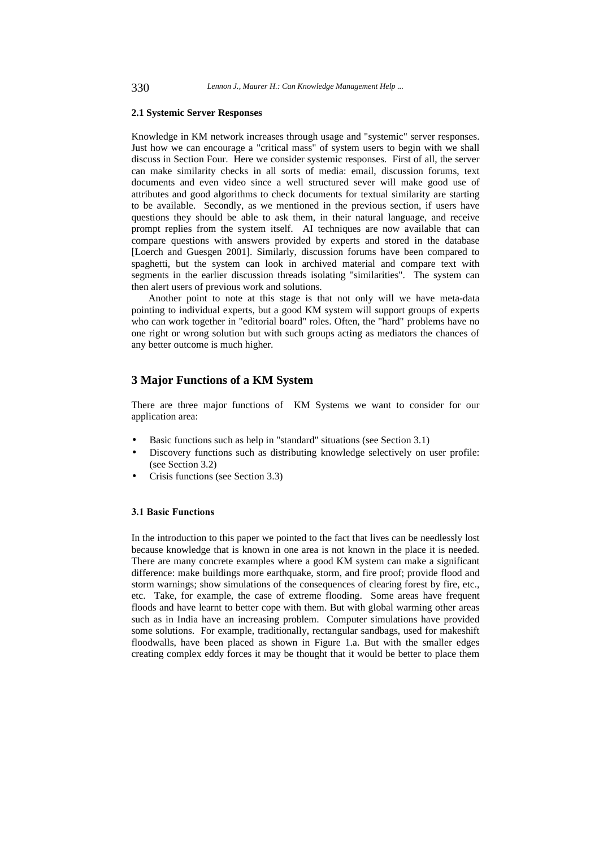#### **2.1 Systemic Server Responses**

Knowledge in KM network increases through usage and "systemic" server responses. Just how we can encourage a "critical mass" of system users to begin with we shall discuss in Section Four. Here we consider systemic responses. First of all, the server can make similarity checks in all sorts of media: email, discussion forums, text documents and even video since a well structured sever will make good use of attributes and good algorithms to check documents for textual similarity are starting to be available. Secondly, as we mentioned in the previous section, if users have questions they should be able to ask them, in their natural language, and receive prompt replies from the system itself. AI techniques are now available that can compare questions with answers provided by experts and stored in the database [Loerch and Guesgen 2001]. Similarly, discussion forums have been compared to spaghetti, but the system can look in archived material and compare text with segments in the earlier discussion threads isolating "similarities". The system can then alert users of previous work and solutions.

Another point to note at this stage is that not only will we have meta-data pointing to individual experts, but a good KM system will support groups of experts who can work together in "editorial board" roles. Often, the "hard" problems have no one right or wrong solution but with such groups acting as mediators the chances of any better outcome is much higher.

# **3 Major Functions of a KM System**

There are three major functions of KM Systems we want to consider for our application area:

- Basic functions such as help in "standard" situations (see Section 3.1)
- Discovery functions such as distributing knowledge selectively on user profile: (see Section 3.2)
- Crisis functions (see Section 3.3)

#### **3.1 Basic Functions**

In the introduction to this paper we pointed to the fact that lives can be needlessly lost because knowledge that is known in one area is not known in the place it is needed. There are many concrete examples where a good KM system can make a significant difference: make buildings more earthquake, storm, and fire proof; provide flood and storm warnings; show simulations of the consequences of clearing forest by fire, etc., etc. Take, for example, the case of extreme flooding. Some areas have frequent floods and have learnt to better cope with them. But with global warming other areas such as in India have an increasing problem. Computer simulations have provided some solutions. For example, traditionally, rectangular sandbags, used for makeshift floodwalls, have been placed as shown in Figure 1.a. But with the smaller edges creating complex eddy forces it may be thought that it would be better to place them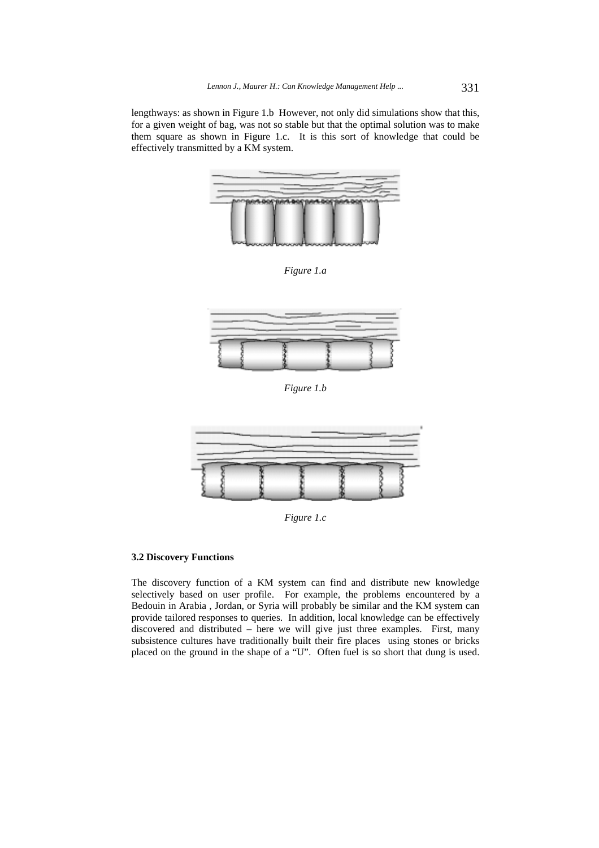lengthways: as shown in Figure 1.b However, not only did simulations show that this, for a given weight of bag, was not so stable but that the optimal solution was to make them square as shown in Figure 1.c. It is this sort of knowledge that could be effectively transmitted by a KM system.



*Figure 1.a* 



*Figure 1.b* 



*Figure 1.c* 

### **3.2 Discovery Functions**

The discovery function of a KM system can find and distribute new knowledge selectively based on user profile. For example, the problems encountered by a Bedouin in Arabia , Jordan, or Syria will probably be similar and the KM system can provide tailored responses to queries. In addition, local knowledge can be effectively discovered and distributed – here we will give just three examples. First, many subsistence cultures have traditionally built their fire places using stones or bricks placed on the ground in the shape of a "U". Often fuel is so short that dung is used.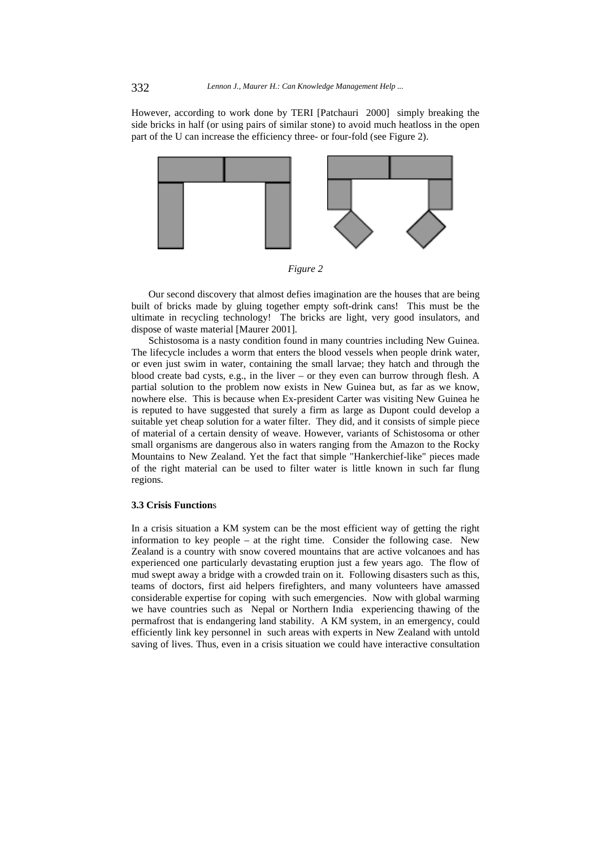However, according to work done by TERI [Patchauri 2000] simply breaking the side bricks in half (or using pairs of similar stone) to avoid much heatloss in the open part of the U can increase the efficiency three- or four-fold (see Figure 2).





Our second discovery that almost defies imagination are the houses that are being built of bricks made by gluing together empty soft-drink cans! This must be the ultimate in recycling technology! The bricks are light, very good insulators, and dispose of waste material [Maurer 2001].

Schistosoma is a nasty condition found in many countries including New Guinea. The lifecycle includes a worm that enters the blood vessels when people drink water, or even just swim in water, containing the small larvae; they hatch and through the blood create bad cysts, e.g., in the liver – or they even can burrow through flesh. A partial solution to the problem now exists in New Guinea but, as far as we know, nowhere else. This is because when Ex-president Carter was visiting New Guinea he is reputed to have suggested that surely a firm as large as Dupont could develop a suitable yet cheap solution for a water filter. They did, and it consists of simple piece of material of a certain density of weave. However, variants of Schistosoma or other small organisms are dangerous also in waters ranging from the Amazon to the Rocky Mountains to New Zealand. Yet the fact that simple "Hankerchief-like" pieces made of the right material can be used to filter water is little known in such far flung regions.

#### **3.3 Crisis Function**s

In a crisis situation a KM system can be the most efficient way of getting the right information to key people – at the right time. Consider the following case. New Zealand is a country with snow covered mountains that are active volcanoes and has experienced one particularly devastating eruption just a few years ago. The flow of mud swept away a bridge with a crowded train on it. Following disasters such as this, teams of doctors, first aid helpers firefighters, and many volunteers have amassed considerable expertise for coping with such emergencies. Now with global warming we have countries such as Nepal or Northern India experiencing thawing of the permafrost that is endangering land stability. A KM system, in an emergency, could efficiently link key personnel in such areas with experts in New Zealand with untold saving of lives. Thus, even in a crisis situation we could have interactive consultation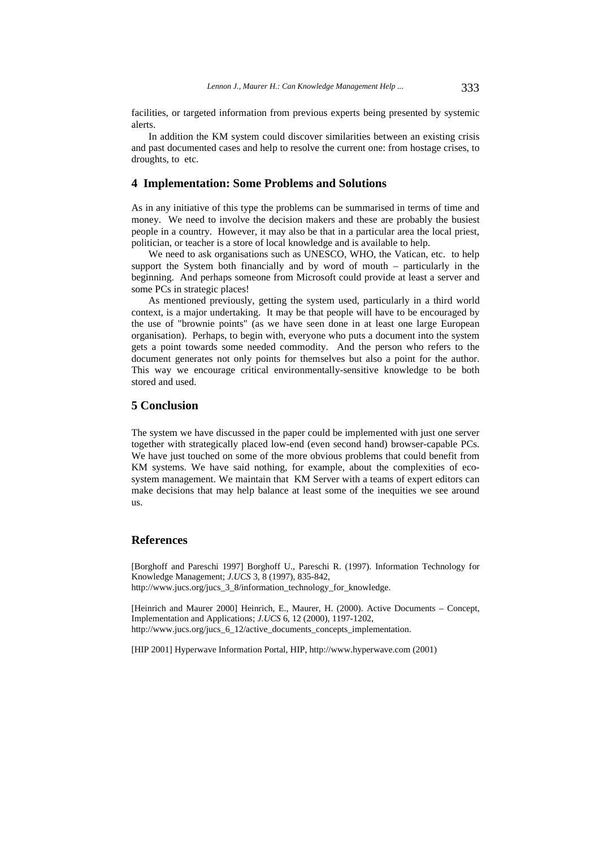facilities, or targeted information from previous experts being presented by systemic alerts.

In addition the KM system could discover similarities between an existing crisis and past documented cases and help to resolve the current one: from hostage crises, to droughts, to etc.

## **4 Implementation: Some Problems and Solutions**

As in any initiative of this type the problems can be summarised in terms of time and money. We need to involve the decision makers and these are probably the busiest people in a country. However, it may also be that in a particular area the local priest, politician, or teacher is a store of local knowledge and is available to help.

We need to ask organisations such as UNESCO, WHO, the Vatican, etc. to help support the System both financially and by word of mouth – particularly in the beginning. And perhaps someone from Microsoft could provide at least a server and some PCs in strategic places!

As mentioned previously, getting the system used, particularly in a third world context, is a major undertaking. It may be that people will have to be encouraged by the use of "brownie points" (as we have seen done in at least one large European organisation). Perhaps, to begin with, everyone who puts a document into the system gets a point towards some needed commodity. And the person who refers to the document generates not only points for themselves but also a point for the author. This way we encourage critical environmentally-sensitive knowledge to be both stored and used.

# **5 Conclusion**

The system we have discussed in the paper could be implemented with just one server together with strategically placed low-end (even second hand) browser-capable PCs. We have just touched on some of the more obvious problems that could benefit from KM systems. We have said nothing, for example, about the complexities of ecosystem management. We maintain that KM Server with a teams of expert editors can make decisions that may help balance at least some of the inequities we see around us.

## **References**

[Borghoff and Pareschi 1997] Borghoff U., Pareschi R. (1997). Information Technology for Knowledge Management; *J.UCS* 3, 8 (1997), 835-842, http://www.jucs.org/jucs\_3\_8/information\_technology\_for\_knowledge.

[Heinrich and Maurer 2000] Heinrich, E., Maurer, H. (2000). Active Documents – Concept, Implementation and Applications; *J.UCS* 6, 12 (2000), 1197-1202, http://www.jucs.org/jucs\_6\_12/active\_documents\_concepts\_implementation.

[HIP 2001] Hyperwave Information Portal, HIP, http://www.hyperwave.com (2001)